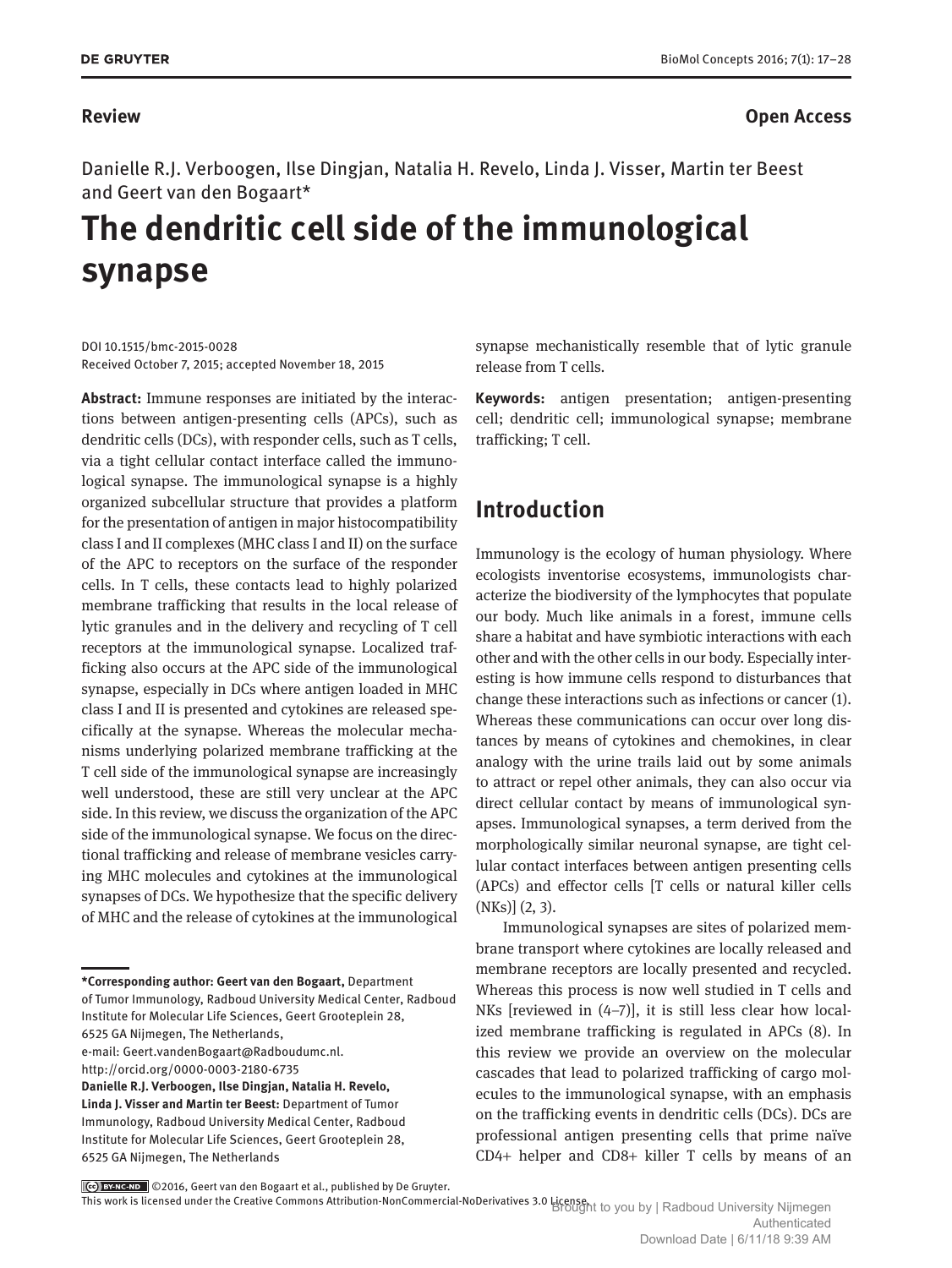#### **Review Open Access**

Danielle R.J. Verboogen, Ilse Dingjan, Natalia H. Revelo, Linda J. Visser, Martin ter Beest and Geert van den Bogaart\*

# **The dendritic cell side of the immunological synapse**

DOI 10.1515/bmc-2015-0028 Received October 7, 2015; accepted November 18, 2015

**Abstract:** Immune responses are initiated by the interactions between antigen-presenting cells (APCs), such as dendritic cells (DCs), with responder cells, such as T cells, via a tight cellular contact interface called the immunological synapse. The immunological synapse is a highly organized subcellular structure that provides a platform for the presentation of antigen in major histocompatibility class I and II complexes (MHC class I and II) on the surface of the APC to receptors on the surface of the responder cells. In T cells, these contacts lead to highly polarized membrane trafficking that results in the local release of lytic granules and in the delivery and recycling of T cell receptors at the immunological synapse. Localized trafficking also occurs at the APC side of the immunological synapse, especially in DCs where antigen loaded in MHC class I and II is presented and cytokines are released specifically at the synapse. Whereas the molecular mechanisms underlying polarized membrane trafficking at the T cell side of the immunological synapse are increasingly well understood, these are still very unclear at the APC side. In this review, we discuss the organization of the APC side of the immunological synapse. We focus on the directional trafficking and release of membrane vesicles carrying MHC molecules and cytokines at the immunological synapses of DCs. We hypothesize that the specific delivery of MHC and the release of cytokines at the immunological

**\*Corresponding author: Geert van den Bogaart,** Department of Tumor Immunology, Radboud University Medical Center, Radboud

Institute for Molecular Life Sciences, Geert Grooteplein 28, 6525 GA Nijmegen, The Netherlands,

e-mail: [Geert.vandenBogaart@Radboudumc.nl.](mailto:Geert.vandenBogaart@Radboudumc.nl)

<http://orcid.org/0000-0003-2180-6735>

**Danielle R.J. Verboogen, Ilse Dingjan, Natalia H. Revelo, Linda J. Visser and Martin ter Beest:** Department of Tumor Immunology, Radboud University Medical Center, Radboud Institute for Molecular Life Sciences, Geert Grooteplein 28, 6525 GA Nijmegen, The Netherlands

synapse mechanistically resemble that of lytic granule release from T cells.

**Keywords:** antigen presentation; antigen-presenting cell; dendritic cell; immunological synapse; membrane trafficking; T cell.

### **Introduction**

Immunology is the ecology of human physiology. Where ecologists inventorise ecosystems, immunologists characterize the biodiversity of the lymphocytes that populate our body. Much like animals in a forest, immune cells share a habitat and have symbiotic interactions with each other and with the other cells in our body. Especially interesting is how immune cells respond to disturbances that change these interactions such as infections or cancer (1). Whereas these communications can occur over long distances by means of cytokines and chemokines, in clear analogy with the urine trails laid out by some animals to attract or repel other animals, they can also occur via direct cellular contact by means of immunological synapses. Immunological synapses, a term derived from the morphologically similar neuronal synapse, are tight cellular contact interfaces between antigen presenting cells (APCs) and effector cells [T cells or natural killer cells (NKs)] (2, 3).

Immunological synapses are sites of polarized membrane transport where cytokines are locally released and membrane receptors are locally presented and recycled. Whereas this process is now well studied in T cells and NKs [reviewed in (4–7)], it is still less clear how localized membrane trafficking is regulated in APCs (8). In this review we provide an overview on the molecular cascades that lead to polarized trafficking of cargo molecules to the immunological synapse, with an emphasis on the trafficking events in dendritic cells (DCs). DCs are professional antigen presenting cells that prime naïve CD4+ helper and CD8+ killer T cells by means of an

©2016, Geert van den Bogaart et al., published by De Gruyter.

<sup>&</sup>lt;u>||co|||sasesiv=||</u> الكلالة, beent van den busaantet an, published by be bington.<br>This work is licensed under the Creative Commons Attribution-NonCommercial-NoDerivatives 3.0 License. Brought to you by | Radboud Universit Authenticated Download Date | 6/11/18 9:39 AM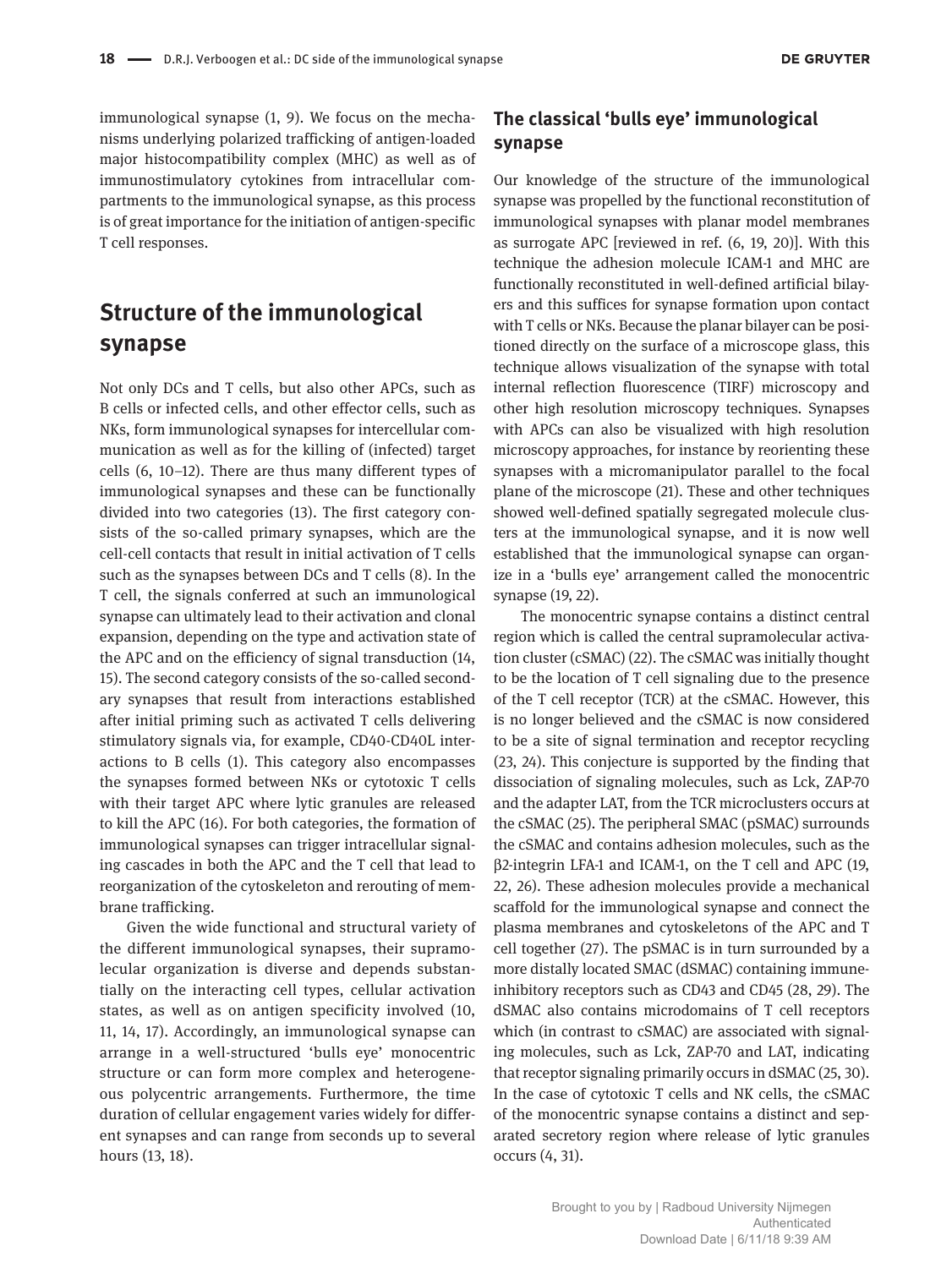immunological synapse (1, 9). We focus on the mechanisms underlying polarized trafficking of antigen-loaded major histocompatibility complex (MHC) as well as of immunostimulatory cytokines from intracellular compartments to the immunological synapse, as this process is of great importance for the initiation of antigen-specific T cell responses.

## **Structure of the immunological synapse**

Not only DCs and T cells, but also other APCs, such as B cells or infected cells, and other effector cells, such as NKs, form immunological synapses for intercellular communication as well as for the killing of (infected) target cells (6, 10–12). There are thus many different types of immunological synapses and these can be functionally divided into two categories (13). The first category consists of the so-called primary synapses, which are the cell-cell contacts that result in initial activation of T cells such as the synapses between DCs and T cells (8). In the T cell, the signals conferred at such an immunological synapse can ultimately lead to their activation and clonal expansion, depending on the type and activation state of the APC and on the efficiency of signal transduction (14, 15). The second category consists of the so-called secondary synapses that result from interactions established after initial priming such as activated T cells delivering stimulatory signals via, for example, CD40-CD40L interactions to B cells (1). This category also encompasses the synapses formed between NKs or cytotoxic T cells with their target APC where lytic granules are released to kill the APC (16). For both categories, the formation of immunological synapses can trigger intracellular signaling cascades in both the APC and the T cell that lead to reorganization of the cytoskeleton and rerouting of membrane trafficking.

Given the wide functional and structural variety of the different immunological synapses, their supramolecular organization is diverse and depends substantially on the interacting cell types, cellular activation states, as well as on antigen specificity involved (10, 11, 14, 17). Accordingly, an immunological synapse can arrange in a well-structured 'bulls eye' monocentric structure or can form more complex and heterogeneous polycentric arrangements. Furthermore, the time duration of cellular engagement varies widely for different synapses and can range from seconds up to several hours (13, 18).

### **The classical 'bulls eye' immunological synapse**

Our knowledge of the structure of the immunological synapse was propelled by the functional reconstitution of immunological synapses with planar model membranes as surrogate APC [reviewed in ref. (6, 19, 20)]. With this technique the adhesion molecule ICAM-1 and MHC are functionally reconstituted in well-defined artificial bilayers and this suffices for synapse formation upon contact with T cells or NKs. Because the planar bilayer can be positioned directly on the surface of a microscope glass, this technique allows visualization of the synapse with total internal reflection fluorescence (TIRF) microscopy and other high resolution microscopy techniques. Synapses with APCs can also be visualized with high resolution microscopy approaches, for instance by reorienting these synapses with a micromanipulator parallel to the focal plane of the microscope (21). These and other techniques showed well-defined spatially segregated molecule clusters at the immunological synapse, and it is now well established that the immunological synapse can organize in a 'bulls eye' arrangement called the monocentric synapse (19, 22).

The monocentric synapse contains a distinct central region which is called the central supramolecular activation cluster (cSMAC) (22). The cSMAC was initially thought to be the location of T cell signaling due to the presence of the T cell receptor (TCR) at the cSMAC. However, this is no longer believed and the cSMAC is now considered to be a site of signal termination and receptor recycling (23, 24). This conjecture is supported by the finding that dissociation of signaling molecules, such as Lck, ZAP-70 and the adapter LAT, from the TCR microclusters occurs at the cSMAC (25). The peripheral SMAC (pSMAC) surrounds the cSMAC and contains adhesion molecules, such as the β2-integrin LFA-1 and ICAM-1, on the T cell and APC (19, 22, 26). These adhesion molecules provide a mechanical scaffold for the immunological synapse and connect the plasma membranes and cytoskeletons of the APC and T cell together (27). The pSMAC is in turn surrounded by a more distally located SMAC (dSMAC) containing immuneinhibitory receptors such as CD43 and CD45 (28, 29). The dSMAC also contains microdomains of T cell receptors which (in contrast to cSMAC) are associated with signaling molecules, such as Lck, ZAP-70 and LAT, indicating that receptor signaling primarily occurs in dSMAC (25, 30). In the case of cytotoxic T cells and NK cells, the cSMAC of the monocentric synapse contains a distinct and separated secretory region where release of lytic granules occurs (4, 31).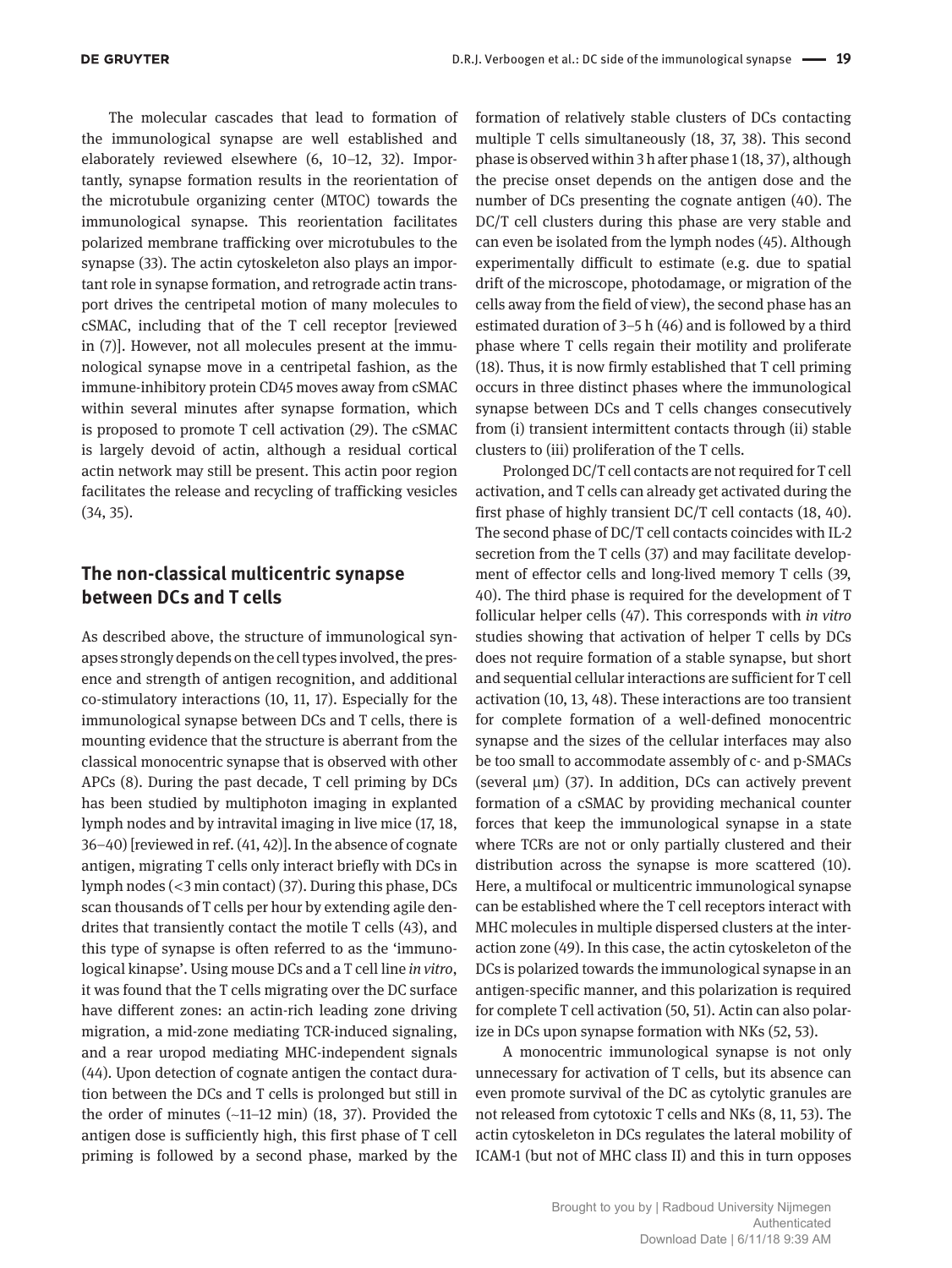The molecular cascades that lead to formation of the immunological synapse are well established and elaborately reviewed elsewhere (6, 10–12, 32). Importantly, synapse formation results in the reorientation of the microtubule organizing center (MTOC) towards the immunological synapse. This reorientation facilitates polarized membrane trafficking over microtubules to the synapse (33). The actin cytoskeleton also plays an important role in synapse formation, and retrograde actin transport drives the centripetal motion of many molecules to cSMAC, including that of the T cell receptor [reviewed in (7)]. However, not all molecules present at the immunological synapse move in a centripetal fashion, as the immune-inhibitory protein CD45 moves away from cSMAC within several minutes after synapse formation, which is proposed to promote T cell activation (29). The cSMAC is largely devoid of actin, although a residual cortical actin network may still be present. This actin poor region facilitates the release and recycling of trafficking vesicles (34, 35).

### **The non-classical multicentric synapse between DCs and T cells**

As described above, the structure of immunological synapses strongly depends on the cell types involved, the presence and strength of antigen recognition, and additional co-stimulatory interactions (10, 11, 17). Especially for the immunological synapse between DCs and T cells, there is mounting evidence that the structure is aberrant from the classical monocentric synapse that is observed with other APCs (8). During the past decade, T cell priming by DCs has been studied by multiphoton imaging in explanted lymph nodes and by intravital imaging in live mice (17, 18, 36–40) [reviewed in ref. (41, 42)]. In the absence of cognate antigen, migrating T cells only interact briefly with DCs in lymph nodes ( < 3 min contact) (37). During this phase, DCs scan thousands of T cells per hour by extending agile dendrites that transiently contact the motile T cells (43), and this type of synapse is often referred to as the 'immunological kinapse'. Using mouse DCs and a T cell line *in vitro*, it was found that the T cells migrating over the DC surface have different zones: an actin-rich leading zone driving migration, a mid-zone mediating TCR-induced signaling, and a rear uropod mediating MHC-independent signals (44). Upon detection of cognate antigen the contact duration between the DCs and T cells is prolonged but still in the order of minutes  $(-11-12 \text{ min})$  (18, 37). Provided the antigen dose is sufficiently high, this first phase of T cell priming is followed by a second phase, marked by the

formation of relatively stable clusters of DCs contacting multiple T cells simultaneously (18, 37, 38). This second phase is observed within 3 h after phase 1 (18, 37), although the precise onset depends on the antigen dose and the number of DCs presenting the cognate antigen (40). The DC/T cell clusters during this phase are very stable and can even be isolated from the lymph nodes (45). Although experimentally difficult to estimate (e.g. due to spatial drift of the microscope, photodamage, or migration of the cells away from the field of view), the second phase has an estimated duration of 3–5 h (46) and is followed by a third phase where T cells regain their motility and proliferate (18). Thus, it is now firmly established that T cell priming occurs in three distinct phases where the immunological synapse between DCs and T cells changes consecutively from (i) transient intermittent contacts through (ii) stable clusters to (iii) proliferation of the T cells.

Prolonged DC/T cell contacts are not required for T cell activation, and T cells can already get activated during the first phase of highly transient DC/T cell contacts (18, 40). The second phase of DC/T cell contacts coincides with IL-2 secretion from the T cells (37) and may facilitate development of effector cells and long-lived memory T cells (39, 40). The third phase is required for the development of T follicular helper cells (47). This corresponds with *in vitro* studies showing that activation of helper T cells by DCs does not require formation of a stable synapse, but short and sequential cellular interactions are sufficient for T cell activation (10, 13, 48). These interactions are too transient for complete formation of a well-defined monocentric synapse and the sizes of the cellular interfaces may also be too small to accommodate assembly of c- and p-SMACs (several μm) (37). In addition, DCs can actively prevent formation of a cSMAC by providing mechanical counter forces that keep the immunological synapse in a state where TCRs are not or only partially clustered and their distribution across the synapse is more scattered (10). Here, a multifocal or multicentric immunological synapse can be established where the T cell receptors interact with MHC molecules in multiple dispersed clusters at the interaction zone (49). In this case, the actin cytoskeleton of the DCs is polarized towards the immunological synapse in an antigen-specific manner, and this polarization is required for complete T cell activation (50, 51). Actin can also polarize in DCs upon synapse formation with NKs (52, 53).

A monocentric immunological synapse is not only unnecessary for activation of T cells, but its absence can even promote survival of the DC as cytolytic granules are not released from cytotoxic T cells and NKs (8, 11, 53). The actin cytoskeleton in DCs regulates the lateral mobility of ICAM-1 (but not of MHC class II) and this in turn opposes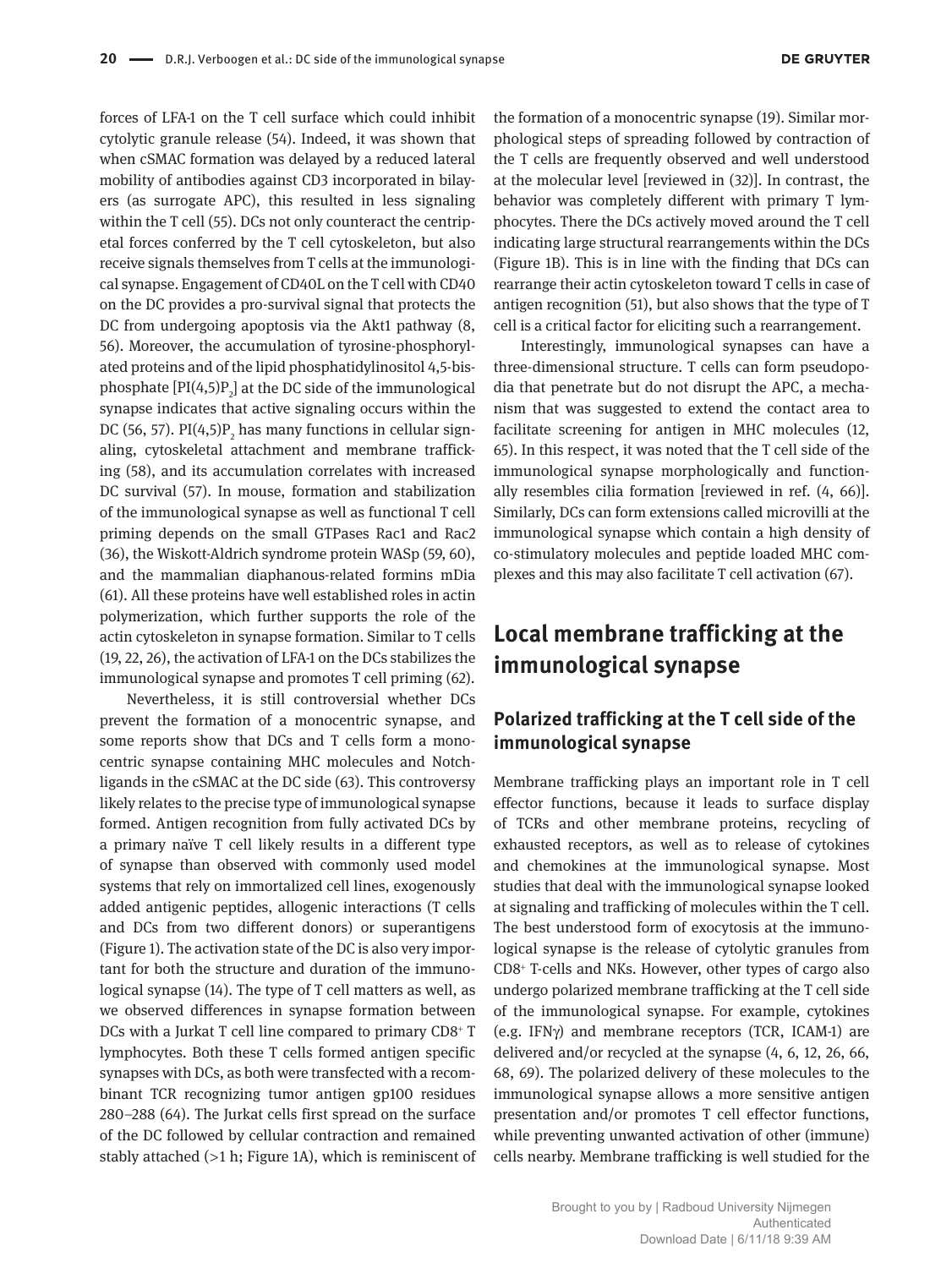forces of LFA-1 on the T cell surface which could inhibit cytolytic granule release (54). Indeed, it was shown that when cSMAC formation was delayed by a reduced lateral mobility of antibodies against CD3 incorporated in bilayers (as surrogate APC), this resulted in less signaling within the T cell (55). DCs not only counteract the centripetal forces conferred by the T cell cytoskeleton, but also receive signals themselves from T cells at the immunological synapse. Engagement of CD40L on the T cell with CD40 on the DC provides a pro-survival signal that protects the DC from undergoing apoptosis via the Akt1 pathway (8, 56). Moreover, the accumulation of tyrosine-phosphorylated proteins and of the lipid phosphatidylinositol 4,5-bisphosphate  $\left[\text{PI}(4,5)\text{P}_2\right]$  at the DC side of the immunological synapse indicates that active signaling occurs within the DC (56, 57). PI(4,5)P<sub>2</sub> has many functions in cellular signaling, cytoskeletal attachment and membrane trafficking (58), and its accumulation correlates with increased DC survival (57). In mouse, formation and stabilization of the immunological synapse as well as functional T cell priming depends on the small GTPases Rac1 and Rac2 (36), the Wiskott-Aldrich syndrome protein WASp (59, 60), and the mammalian diaphanous-related formins mDia (61). All these proteins have well established roles in actin polymerization, which further supports the role of the actin cytoskeleton in synapse formation. Similar to T cells (19, 22, 26), the activation of LFA-1 on the DCs stabilizes the immunological synapse and promotes T cell priming (62).

Nevertheless, it is still controversial whether DCs prevent the formation of a monocentric synapse, and some reports show that DCs and T cells form a monocentric synapse containing MHC molecules and Notchligands in the cSMAC at the DC side (63). This controversy likely relates to the precise type of immunological synapse formed. Antigen recognition from fully activated DCs by a primary naïve T cell likely results in a different type of synapse than observed with commonly used model systems that rely on immortalized cell lines, exogenously added antigenic peptides, allogenic interactions (T cells and DCs from two different donors) or superantigens (Figure 1). The activation state of the DC is also very important for both the structure and duration of the immunological synapse (14). The type of T cell matters as well, as we observed differences in synapse formation between DCs with a Jurkat T cell line compared to primary CD8<sup>+</sup> T lymphocytes. Both these T cells formed antigen specific synapses with DCs, as both were transfected with a recombinant TCR recognizing tumor antigen gp100 residues 280–288 (64). The Jurkat cells first spread on the surface of the DC followed by cellular contraction and remained stably attached  $($ >1 h; Figure 1A), which is reminiscent of

the formation of a monocentric synapse (19). Similar morphological steps of spreading followed by contraction of the T cells are frequently observed and well understood at the molecular level [reviewed in (32)]. In contrast, the behavior was completely different with primary T lymphocytes. There the DCs actively moved around the T cell indicating large structural rearrangements within the DCs (Figure 1B). This is in line with the finding that DCs can rearrange their actin cytoskeleton toward T cells in case of antigen recognition (51), but also shows that the type of T cell is a critical factor for eliciting such a rearrangement.

Interestingly, immunological synapses can have a three-dimensional structure. T cells can form pseudopodia that penetrate but do not disrupt the APC, a mechanism that was suggested to extend the contact area to facilitate screening for antigen in MHC molecules (12, 65). In this respect, it was noted that the T cell side of the immunological synapse morphologically and functionally resembles cilia formation [reviewed in ref. (4, 66)]. Similarly, DCs can form extensions called microvilli at the immunological synapse which contain a high density of co-stimulatory molecules and peptide loaded MHC complexes and this may also facilitate T cell activation (67).

## **Local membrane trafficking at the immunological synapse**

### **Polarized trafficking at the T cell side of the immunological synapse**

Membrane trafficking plays an important role in T cell effector functions, because it leads to surface display of TCRs and other membrane proteins, recycling of exhausted receptors, as well as to release of cytokines and chemokines at the immunological synapse. Most studies that deal with the immunological synapse looked at signaling and trafficking of molecules within the T cell. The best understood form of exocytosis at the immunological synapse is the release of cytolytic granules from CD8<sup>+</sup> T-cells and NKs. However, other types of cargo also undergo polarized membrane trafficking at the T cell side of the immunological synapse. For example, cytokines (e.g. IFNγ) and membrane receptors (TCR, ICAM-1) are delivered and/or recycled at the synapse (4, 6, 12, 26, 66, 68, 69). The polarized delivery of these molecules to the immunological synapse allows a more sensitive antigen presentation and/or promotes T cell effector functions, while preventing unwanted activation of other (immune) cells nearby. Membrane trafficking is well studied for the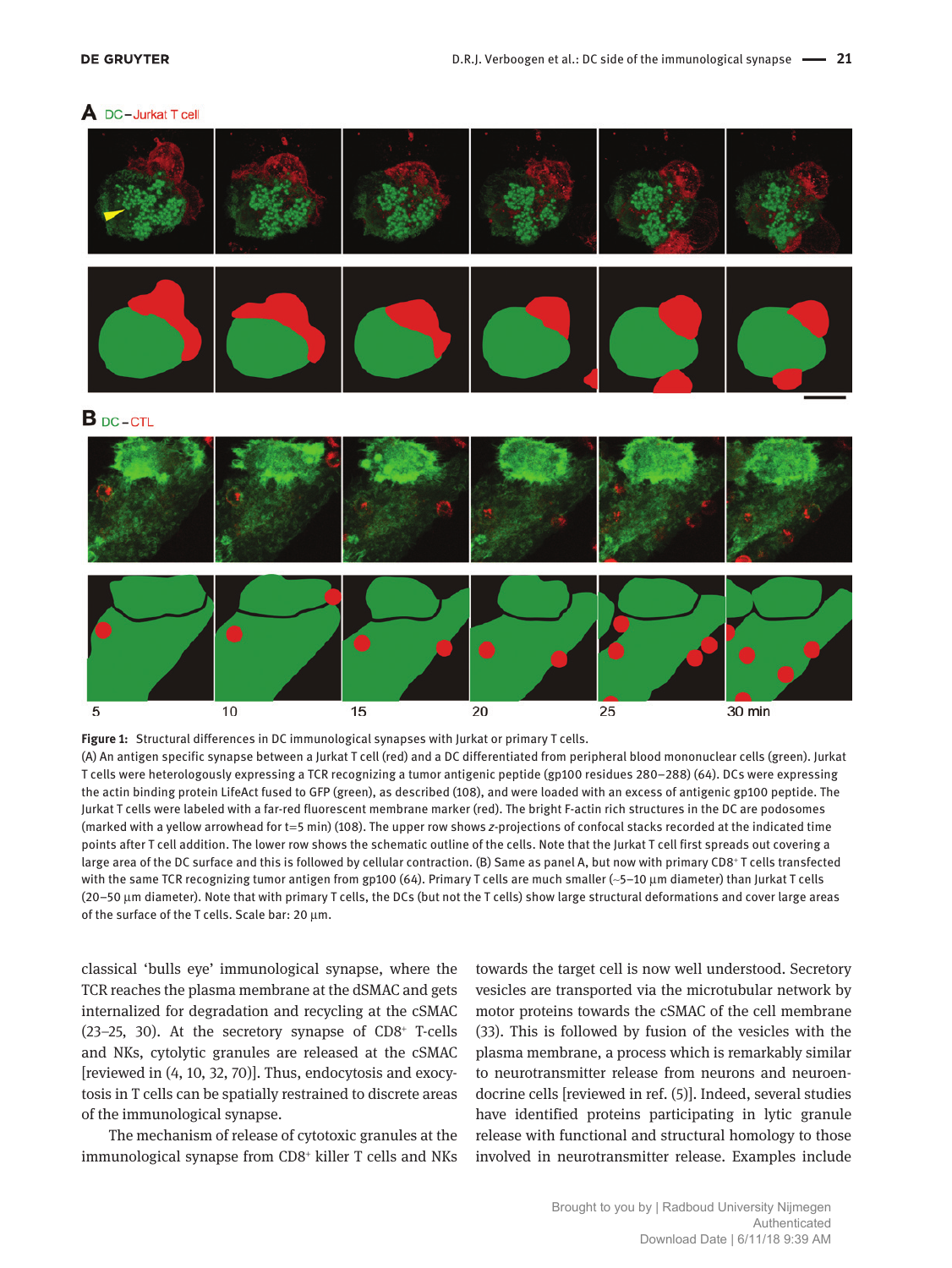#### A DC-Jurkat T cell



**Figure 1:** Structural differences in DC immunological synapses with Jurkat or primary T cells.

(A) An antigen specific synapse between a Jurkat T cell (red) and a DC differentiated from peripheral blood mononuclear cells (green). Jurkat T cells were heterologously expressing a TCR recognizing a tumor antigenic peptide (gp100 residues 280–288) (64). DCs were expressing the actin binding protein LifeAct fused to GFP (green), as described (108), and were loaded with an excess of antigenic gp100 peptide. The Jurkat T cells were labeled with a far-red fluorescent membrane marker (red). The bright F-actin rich structures in the DC are podosomes (marked with a yellow arrowhead for t = 5 min) (108). The upper row shows *z*-projections of confocal stacks recorded at the indicated time points after T cell addition. The lower row shows the schematic outline of the cells. Note that the Jurkat T cell first spreads out covering a large area of the DC surface and this is followed by cellular contraction. (B) Same as panel A, but now with primary CD8<sup>+</sup> T cells transfected with the same TCR recognizing tumor antigen from gp100 (64). Primary T cells are much smaller (~5–10 μm diameter) than Jurkat T cells (20–50 μm diameter). Note that with primary T cells, the DCs (but not the T cells) show large structural deformations and cover large areas of the surface of the T cells. Scale bar: 20 μm.

classical 'bulls eye' immunological synapse, where the TCR reaches the plasma membrane at the dSMAC and gets internalized for degradation and recycling at the cSMAC  $(23-25, 30)$ . At the secretory synapse of CD8+ T-cells and NKs, cytolytic granules are released at the cSMAC [reviewed in (4, 10, 32, 70)]. Thus, endocytosis and exocytosis in T cells can be spatially restrained to discrete areas of the immunological synapse.

The mechanism of release of cytotoxic granules at the immunological synapse from CD8<sup>+</sup> killer T cells and NKs towards the target cell is now well understood. Secretory vesicles are transported via the microtubular network by motor proteins towards the cSMAC of the cell membrane (33). This is followed by fusion of the vesicles with the plasma membrane, a process which is remarkably similar to neurotransmitter release from neurons and neuroendocrine cells [reviewed in ref. (5)]. Indeed, several studies have identified proteins participating in lytic granule release with functional and structural homology to those involved in neurotransmitter release. Examples include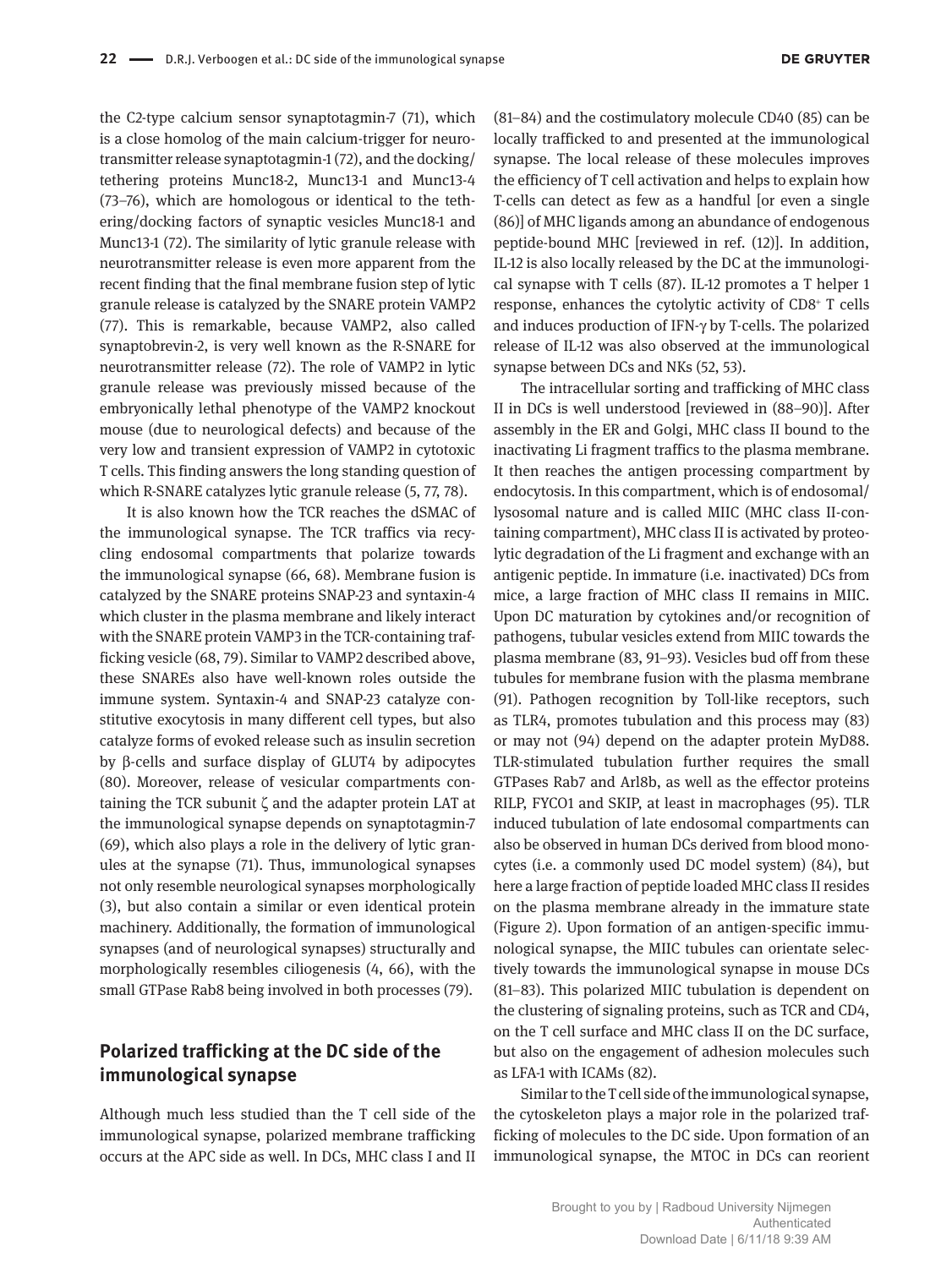the C2-type calcium sensor synaptotagmin-7 (71), which is a close homolog of the main calcium-trigger for neurotransmitter release synaptotagmin-1 (72), and the docking/ tethering proteins Munc18-2, Munc13-1 and Munc13-4 (73–76), which are homologous or identical to the tethering/docking factors of synaptic vesicles Munc18-1 and Munc13-1 (72). The similarity of lytic granule release with neurotransmitter release is even more apparent from the recent finding that the final membrane fusion step of lytic granule release is catalyzed by the SNARE protein VAMP2 (77). This is remarkable, because VAMP2, also called synaptobrevin-2, is very well known as the R-SNARE for neurotransmitter release (72). The role of VAMP2 in lytic granule release was previously missed because of the embryonically lethal phenotype of the VAMP2 knockout mouse (due to neurological defects) and because of the very low and transient expression of VAMP2 in cytotoxic T cells. This finding answers the long standing question of which R-SNARE catalyzes lytic granule release (5, 77, 78).

It is also known how the TCR reaches the dSMAC of the immunological synapse. The TCR traffics via recycling endosomal compartments that polarize towards the immunological synapse (66, 68). Membrane fusion is catalyzed by the SNARE proteins SNAP-23 and syntaxin-4 which cluster in the plasma membrane and likely interact with the SNARE protein VAMP3 in the TCR-containing trafficking vesicle (68, 79). Similar to VAMP2 described above, these SNAREs also have well-known roles outside the immune system. Syntaxin-4 and SNAP-23 catalyze constitutive exocytosis in many different cell types, but also catalyze forms of evoked release such as insulin secretion by β-cells and surface display of GLUT4 by adipocytes (80). Moreover, release of vesicular compartments containing the TCR subunit ζ and the adapter protein LAT at the immunological synapse depends on synaptotagmin-7 (69), which also plays a role in the delivery of lytic granules at the synapse (71). Thus, immunological synapses not only resemble neurological synapses morphologically (3), but also contain a similar or even identical protein machinery. Additionally, the formation of immunological synapses (and of neurological synapses) structurally and morphologically resembles ciliogenesis (4, 66), with the small GTPase Rab8 being involved in both processes (79).

### **Polarized trafficking at the DC side of the immunological synapse**

Although much less studied than the T cell side of the immunological synapse, polarized membrane trafficking occurs at the APC side as well. In DCs, MHC class I and II

(81–84) and the costimulatory molecule CD40 (85) can be locally trafficked to and presented at the immunological synapse. The local release of these molecules improves the efficiency of T cell activation and helps to explain how T-cells can detect as few as a handful [or even a single (86)] of MHC ligands among an abundance of endogenous peptide-bound MHC [reviewed in ref. (12)]. In addition, IL-12 is also locally released by the DC at the immunological synapse with T cells (87). IL-12 promotes a T helper 1 response, enhances the cytolytic activity of CD8<sup>+</sup> T cells and induces production of IFN-γ by T-cells. The polarized release of IL-12 was also observed at the immunological synapse between DCs and NKs (52, 53).

The intracellular sorting and trafficking of MHC class II in DCs is well understood [reviewed in (88–90)]. After assembly in the ER and Golgi, MHC class II bound to the inactivating Li fragment traffics to the plasma membrane. It then reaches the antigen processing compartment by endocytosis. In this compartment, which is of endosomal/ lysosomal nature and is called MIIC (MHC class II-containing compartment), MHC class II is activated by proteolytic degradation of the Li fragment and exchange with an antigenic peptide. In immature (i.e. inactivated) DCs from mice, a large fraction of MHC class II remains in MIIC. Upon DC maturation by cytokines and/or recognition of pathogens, tubular vesicles extend from MIIC towards the plasma membrane (83, 91–93). Vesicles bud off from these tubules for membrane fusion with the plasma membrane (91). Pathogen recognition by Toll-like receptors, such as TLR4, promotes tubulation and this process may (83) or may not (94) depend on the adapter protein MyD88. TLR-stimulated tubulation further requires the small GTPases Rab7 and Arl8b, as well as the effector proteins RILP, FYCO1 and SKIP, at least in macrophages (95). TLR induced tubulation of late endosomal compartments can also be observed in human DCs derived from blood monocytes (i.e. a commonly used DC model system) (84), but here a large fraction of peptide loaded MHC class II resides on the plasma membrane already in the immature state (Figure 2). Upon formation of an antigen-specific immunological synapse, the MIIC tubules can orientate selectively towards the immunological synapse in mouse DCs (81–83). This polarized MIIC tubulation is dependent on the clustering of signaling proteins, such as TCR and CD4, on the T cell surface and MHC class II on the DC surface, but also on the engagement of adhesion molecules such as LFA-1 with ICAMs (82).

Similar to the T cell side of the immunological synapse, the cytoskeleton plays a major role in the polarized trafficking of molecules to the DC side. Upon formation of an immunological synapse, the MTOC in DCs can reorient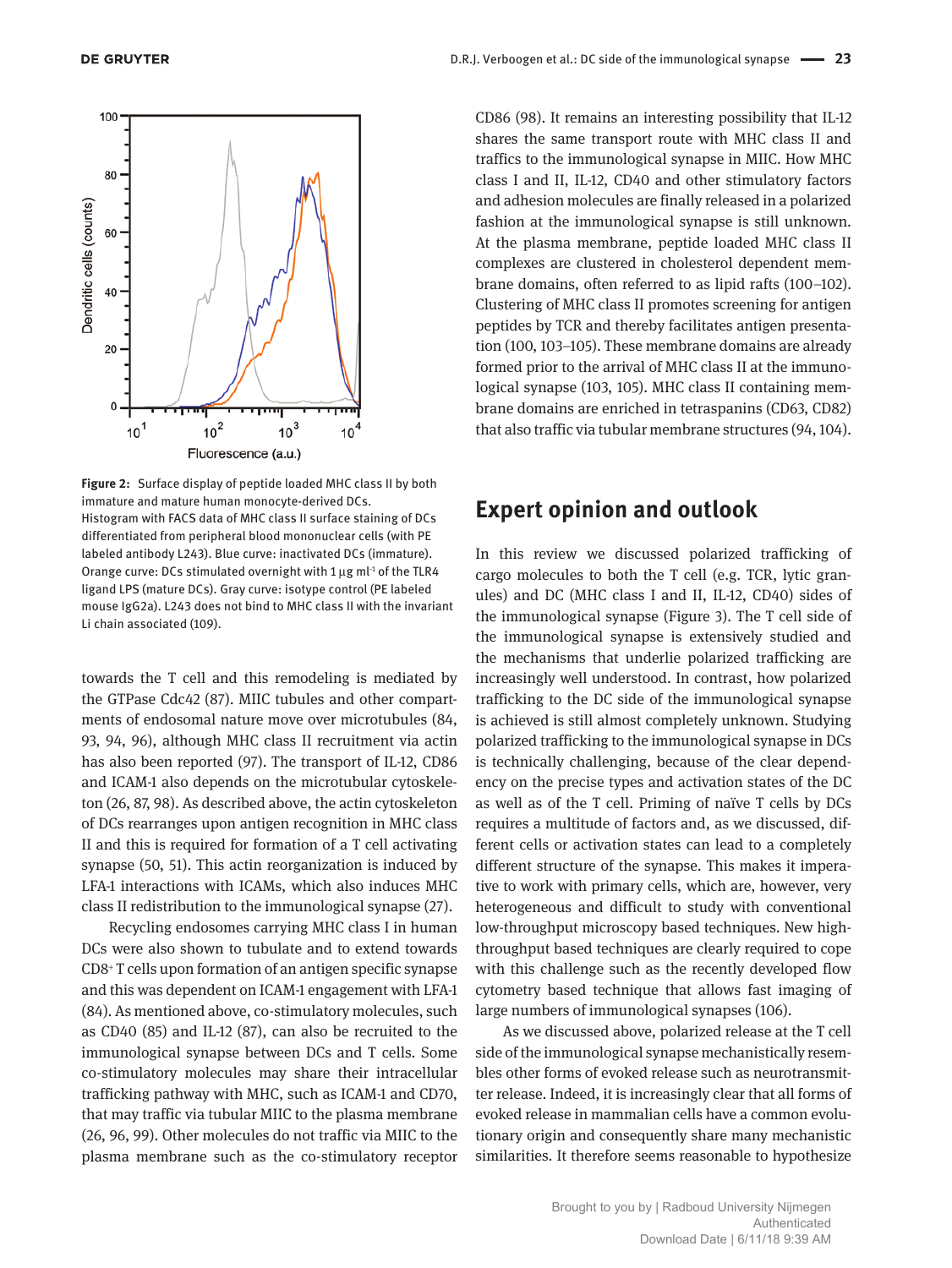

**Figure 2:** Surface display of peptide loaded MHC class II by both immature and mature human monocyte-derived DCs. Histogram with FACS data of MHC class II surface staining of DCs differentiated from peripheral blood mononuclear cells (with PE labeled antibody L243). Blue curve: inactivated DCs (immature). Orange curve: DCs stimulated overnight with 1  $\mu$ g ml<sup>-1</sup> of the TLR4 ligand LPS (mature DCs). Gray curve: isotype control (PE labeled mouse IgG2a). L243 does not bind to MHC class II with the invariant Li chain associated (109).

towards the T cell and this remodeling is mediated by the GTPase Cdc42 (87). MIIC tubules and other compartments of endosomal nature move over microtubules (84, 93, 94, 96), although MHC class II recruitment via actin has also been reported (97). The transport of IL-12, CD86 and ICAM-1 also depends on the microtubular cytoskeleton (26, 87, 98). As described above, the actin cytoskeleton of DCs rearranges upon antigen recognition in MHC class II and this is required for formation of a T cell activating synapse (50, 51). This actin reorganization is induced by LFA-1 interactions with ICAMs, which also induces MHC class II redistribution to the immunological synapse (27).

Recycling endosomes carrying MHC class I in human DCs were also shown to tubulate and to extend towards CD8<sup>+</sup> T cells upon formation of an antigen specific synapse and this was dependent on ICAM-1 engagement with LFA-1 (84). As mentioned above, co-stimulatory molecules, such as CD40 (85) and IL-12 (87), can also be recruited to the immunological synapse between DCs and T cells. Some co-stimulatory molecules may share their intracellular trafficking pathway with MHC, such as ICAM-1 and CD70, that may traffic via tubular MIIC to the plasma membrane (26, 96, 99). Other molecules do not traffic via MIIC to the plasma membrane such as the co-stimulatory receptor

CD86 (98). It remains an interesting possibility that IL-12 shares the same transport route with MHC class II and traffics to the immunological synapse in MIIC. How MHC class I and II, IL-12, CD40 and other stimulatory factors and adhesion molecules are finally released in a polarized fashion at the immunological synapse is still unknown. At the plasma membrane, peptide loaded MHC class II complexes are clustered in cholesterol dependent membrane domains, often referred to as lipid rafts (100–102). Clustering of MHC class II promotes screening for antigen peptides by TCR and thereby facilitates antigen presentation (100, 103–105). These membrane domains are already formed prior to the arrival of MHC class II at the immunological synapse (103, 105). MHC class II containing membrane domains are enriched in tetraspanins (CD63, CD82) that also traffic via tubular membrane structures (94, 104).

### **Expert opinion and outlook**

In this review we discussed polarized trafficking of cargo molecules to both the T cell (e.g. TCR, lytic granules) and DC (MHC class I and II, IL-12, CD40) sides of the immunological synapse (Figure 3). The T cell side of the immunological synapse is extensively studied and the mechanisms that underlie polarized trafficking are increasingly well understood. In contrast, how polarized trafficking to the DC side of the immunological synapse is achieved is still almost completely unknown. Studying polarized trafficking to the immunological synapse in DCs is technically challenging, because of the clear dependency on the precise types and activation states of the DC as well as of the T cell. Priming of naïve T cells by DCs requires a multitude of factors and, as we discussed, different cells or activation states can lead to a completely different structure of the synapse. This makes it imperative to work with primary cells, which are, however, very heterogeneous and difficult to study with conventional low-throughput microscopy based techniques. New highthroughput based techniques are clearly required to cope with this challenge such as the recently developed flow cytometry based technique that allows fast imaging of large numbers of immunological synapses (106).

As we discussed above, polarized release at the T cell side of the immunological synapse mechanistically resembles other forms of evoked release such as neurotransmitter release. Indeed, it is increasingly clear that all forms of evoked release in mammalian cells have a common evolutionary origin and consequently share many mechanistic similarities. It therefore seems reasonable to hypothesize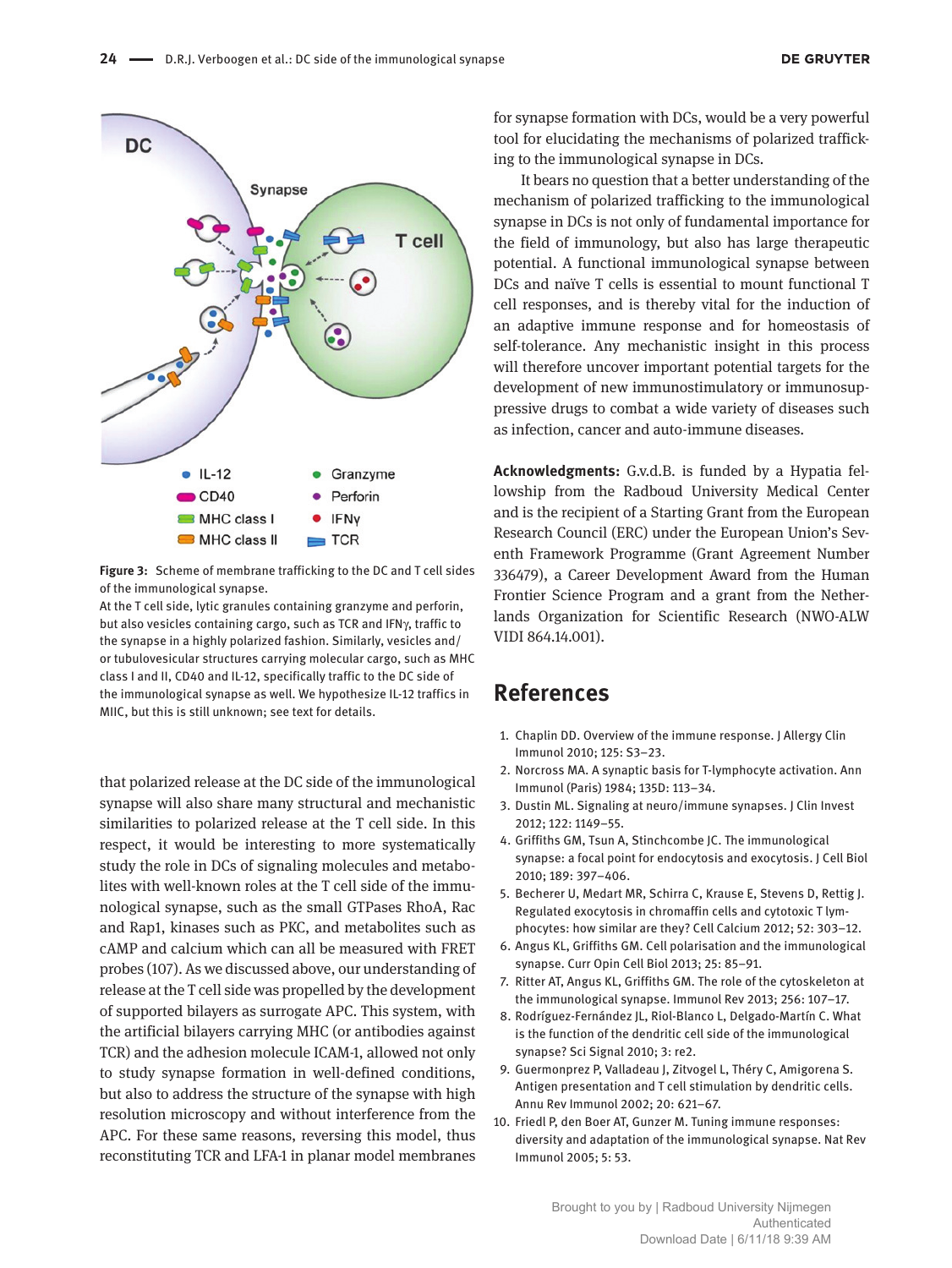

**Figure 3:** Scheme of membrane trafficking to the DC and T cell sides of the immunological synapse.

At the T cell side, lytic granules containing granzyme and perforin, but also vesicles containing cargo, such as TCR and IFNγ, traffic to the synapse in a highly polarized fashion. Similarly, vesicles and/ or tubulovesicular structures carrying molecular cargo, such as MHC class I and II, CD40 and IL-12, specifically traffic to the DC side of the immunological synapse as well. We hypothesize IL-12 traffics in MIIC, but this is still unknown; see text for details.

that polarized release at the DC side of the immunological synapse will also share many structural and mechanistic similarities to polarized release at the T cell side. In this respect, it would be interesting to more systematically study the role in DCs of signaling molecules and metabolites with well-known roles at the T cell side of the immunological synapse, such as the small GTPases RhoA, Rac and Rap1, kinases such as PKC, and metabolites such as cAMP and calcium which can all be measured with FRET probes (107). As we discussed above, our understanding of release at the T cell side was propelled by the development of supported bilayers as surrogate APC. This system, with the artificial bilayers carrying MHC (or antibodies against TCR) and the adhesion molecule ICAM-1, allowed not only to study synapse formation in well-defined conditions, but also to address the structure of the synapse with high resolution microscopy and without interference from the APC. For these same reasons, reversing this model, thus reconstituting TCR and LFA-1 in planar model membranes

for synapse formation with DCs, would be a very powerful tool for elucidating the mechanisms of polarized trafficking to the immunological synapse in DCs.

It bears no question that a better understanding of the mechanism of polarized trafficking to the immunological synapse in DCs is not only of fundamental importance for the field of immunology, but also has large therapeutic potential. A functional immunological synapse between DCs and naïve T cells is essential to mount functional T cell responses, and is thereby vital for the induction of an adaptive immune response and for homeostasis of self-tolerance. Any mechanistic insight in this process will therefore uncover important potential targets for the development of new immunostimulatory or immunosuppressive drugs to combat a wide variety of diseases such as infection, cancer and auto-immune diseases.

**Acknowledgments:** G.v.d.B. is funded by a Hypatia fellowship from the Radboud University Medical Center and is the recipient of a Starting Grant from the European Research Council (ERC) under the European Union's Seventh Framework Programme (Grant Agreement Number 336479), a Career Development Award from the Human Frontier Science Program and a grant from the Netherlands Organization for Scientific Research (NWO-ALW VIDI 864.14.001).

### **References**

- 1. Chaplin DD. Overview of the immune response. J Allergy Clin Immunol 2010; 125: S3–23.
- 2. Norcross MA. A synaptic basis for T-lymphocyte activation. Ann Immunol (Paris) 1984; 135D: 113–34.
- 3. Dustin ML. Signaling at neuro/immune synapses. J Clin Invest 2012; 122: 1149–55.
- 4. Griffiths GM, Tsun A, Stinchcombe JC. The immunological synapse: a focal point for endocytosis and exocytosis. J Cell Biol 2010; 189: 397–406.
- 5. Becherer U, Medart MR, Schirra C, Krause E, Stevens D, Rettig J. Regulated exocytosis in chromaffin cells and cytotoxic T lymphocytes: how similar are they? Cell Calcium 2012; 52: 303–12.
- 6. Angus KL, Griffiths GM. Cell polarisation and the immunological synapse. Curr Opin Cell Biol 2013; 25: 85–91.
- 7. Ritter AT, Angus KL, Griffiths GM. The role of the cytoskeleton at the immunological synapse. Immunol Rev 2013; 256: 107–17.
- 8. Rodríguez-Fernández JL, Riol-Blanco L, Delgado-Martín C. What is the function of the dendritic cell side of the immunological synapse? Sci Signal 2010; 3: re2.
- 9. Guermonprez P, Valladeau J, Zitvogel L, Théry C, Amigorena S. Antigen presentation and T cell stimulation by dendritic cells. Annu Rev Immunol 2002; 20: 621–67.
- 10. Friedl P, den Boer AT, Gunzer M. Tuning immune responses: diversity and adaptation of the immunological synapse. Nat Rev Immunol 2005; 5: 53.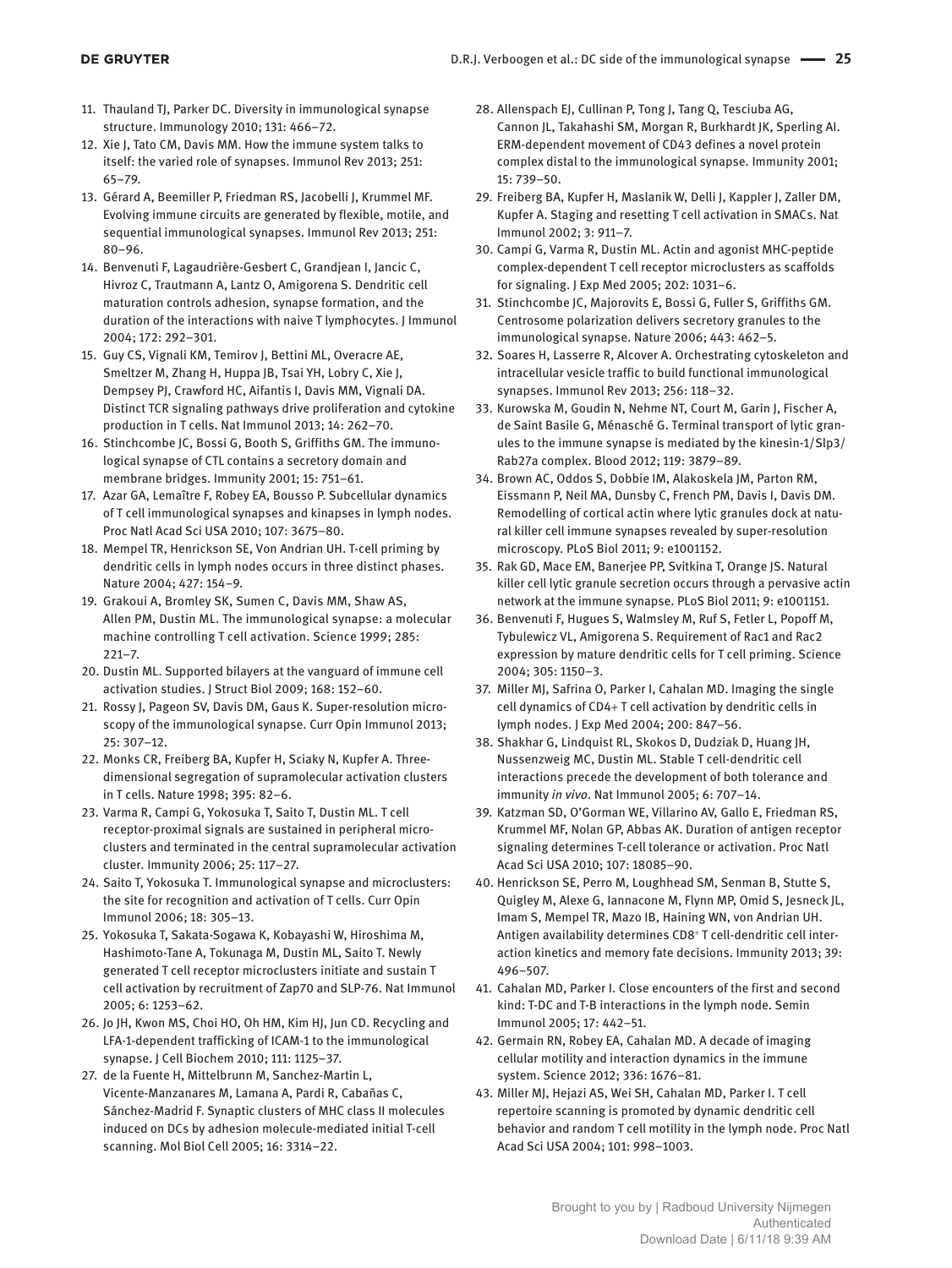- 11. Thauland TJ, Parker DC. Diversity in immunological synapse structure. Immunology 2010; 131: 466–72.
- 12. Xie J, Tato CM, Davis MM. How the immune system talks to itself: the varied role of synapses. Immunol Rev 2013; 251: 65–79.
- 13. Gérard A, Beemiller P, Friedman RS, Jacobelli J, Krummel MF. Evolving immune circuits are generated by flexible, motile, and sequential immunological synapses. Immunol Rev 2013; 251: 80–96.
- 14. Benvenuti F, Lagaudrière-Gesbert C, Grandjean I, Jancic C, Hivroz C, Trautmann A, Lantz O, Amigorena S. Dendritic cell maturation controls adhesion, synapse formation, and the duration of the interactions with naive T lymphocytes. J Immunol 2004; 172: 292–301.
- 15. Guy CS, Vignali KM, Temirov J, Bettini ML, Overacre AE, Smeltzer M, Zhang H, Huppa JB, Tsai YH, Lobry C, Xie J, Dempsey PJ, Crawford HC, Aifantis I, Davis MM, Vignali DA. Distinct TCR signaling pathways drive proliferation and cytokine production in T cells. Nat Immunol 2013; 14: 262–70.
- 16. Stinchcombe JC, Bossi G, Booth S, Griffiths GM. The immunological synapse of CTL contains a secretory domain and membrane bridges. Immunity 2001; 15: 751–61.
- 17. Azar GA, Lemaître F, Robey EA, Bousso P. Subcellular dynamics of T cell immunological synapses and kinapses in lymph nodes. Proc Natl Acad Sci USA 2010; 107: 3675–80.
- 18. Mempel TR, Henrickson SE, Von Andrian UH. T-cell priming by dendritic cells in lymph nodes occurs in three distinct phases. Nature 2004; 427: 154–9.
- 19. Grakoui A, Bromley SK, Sumen C, Davis MM, Shaw AS, Allen PM, Dustin ML. The immunological synapse: a molecular machine controlling T cell activation. Science 1999; 285: 221–7.
- 20. Dustin ML. Supported bilayers at the vanguard of immune cell activation studies. J Struct Biol 2009; 168: 152–60.
- 21. Rossy J, Pageon SV, Davis DM, Gaus K. Super-resolution microscopy of the immunological synapse. Curr Opin Immunol 2013; 25: 307–12.
- 22. Monks CR, Freiberg BA, Kupfer H, Sciaky N, Kupfer A. Threedimensional segregation of supramolecular activation clusters in T cells. Nature 1998; 395: 82–6.
- 23. Varma R, Campi G, Yokosuka T, Saito T, Dustin ML. T cell receptor-proximal signals are sustained in peripheral microclusters and terminated in the central supramolecular activation cluster. Immunity 2006; 25: 117–27.
- 24. Saito T, Yokosuka T. Immunological synapse and microclusters: the site for recognition and activation of T cells. Curr Opin Immunol 2006; 18: 305–13.
- 25. Yokosuka T, Sakata-Sogawa K, Kobayashi W, Hiroshima M, Hashimoto-Tane A, Tokunaga M, Dustin ML, Saito T. Newly generated T cell receptor microclusters initiate and sustain T cell activation by recruitment of Zap70 and SLP-76. Nat Immunol 2005; 6: 1253–62.
- 26. Jo JH, Kwon MS, Choi HO, Oh HM, Kim HJ, Jun CD. Recycling and LFA-1-dependent trafficking of ICAM-1 to the immunological synapse. J Cell Biochem 2010; 111: 1125–37.
- 27. de la Fuente H, Mittelbrunn M, Sanchez-Martin L, Vicente-Manzanares M, Lamana A, Pardi R, Cabañas C, Sánchez-Madrid F. Synaptic clusters of MHC class II molecules induced on DCs by adhesion molecule-mediated initial T-cell scanning. Mol Biol Cell 2005; 16: 3314–22.
- 28. Allenspach EJ, Cullinan P, Tong J, Tang Q, Tesciuba AG, Cannon JL, Takahashi SM, Morgan R, Burkhardt JK, Sperling AI. ERM-dependent movement of CD43 defines a novel protein complex distal to the immunological synapse. Immunity 2001; 15: 739–50.
- 29. Freiberg BA, Kupfer H, Maslanik W, Delli J, Kappler J, Zaller DM, Kupfer A. Staging and resetting T cell activation in SMACs. Nat Immunol 2002; 3: 911–7.
- 30. Campi G, Varma R, Dustin ML. Actin and agonist MHC-peptide complex-dependent T cell receptor microclusters as scaffolds for signaling. J Exp Med 2005; 202: 1031–6.
- 31. Stinchcombe JC, Majorovits E, Bossi G, Fuller S, Griffiths GM. Centrosome polarization delivers secretory granules to the immunological synapse. Nature 2006; 443: 462–5.
- 32. Soares H, Lasserre R, Alcover A. Orchestrating cytoskeleton and intracellular vesicle traffic to build functional immunological synapses. Immunol Rev 2013; 256: 118–32.
- 33. Kurowska M, Goudin N, Nehme NT, Court M, Garin J, Fischer A, de Saint Basile G, Ménasché G. Terminal transport of lytic granules to the immune synapse is mediated by the kinesin-1/Slp3/ Rab27a complex. Blood 2012; 119: 3879–89.
- 34. Brown AC, Oddos S, Dobbie IM, Alakoskela JM, Parton RM, Eissmann P, Neil MA, Dunsby C, French PM, Davis I, Davis DM. Remodelling of cortical actin where lytic granules dock at natural killer cell immune synapses revealed by super-resolution microscopy. PLoS Biol 2011; 9: e1001152.
- 35. Rak GD, Mace EM, Banerjee PP, Svitkina T, Orange JS. Natural killer cell lytic granule secretion occurs through a pervasive actin network at the immune synapse. PLoS Biol 2011; 9: e1001151.
- 36. Benvenuti F, Hugues S, Walmsley M, Ruf S, Fetler L, Popoff M, Tybulewicz VL, Amigorena S. Requirement of Rac1 and Rac2 expression by mature dendritic cells for T cell priming. Science 2004; 305: 1150–3.
- 37. Miller MJ, Safrina O, Parker I, Cahalan MD. Imaging the single cell dynamics of CD4+ T cell activation by dendritic cells in lymph nodes. J Exp Med 2004; 200: 847–56.
- 38. Shakhar G, Lindquist RL, Skokos D, Dudziak D, Huang JH, Nussenzweig MC, Dustin ML. Stable T cell-dendritic cell interactions precede the development of both tolerance and immunity *in vivo*. Nat Immunol 2005; 6: 707–14.
- 39. Katzman SD, O'Gorman WE, Villarino AV, Gallo E, Friedman RS, Krummel MF, Nolan GP, Abbas AK. Duration of antigen receptor signaling determines T-cell tolerance or activation. Proc Natl Acad Sci USA 2010; 107: 18085–90.
- 40. Henrickson SE, Perro M, Loughhead SM, Senman B, Stutte S, Quigley M, Alexe G, Iannacone M, Flynn MP, Omid S, Jesneck JL, Imam S, Mempel TR, Mazo IB, Haining WN, von Andrian UH. Antigen availability determines CD8<sup>+</sup> T cell-dendritic cell interaction kinetics and memory fate decisions. Immunity 2013; 39: 496–507.
- 41. Cahalan MD, Parker I. Close encounters of the first and second kind: T-DC and T-B interactions in the lymph node. Semin Immunol 2005; 17: 442–51.
- 42. Germain RN, Robey EA, Cahalan MD. A decade of imaging cellular motility and interaction dynamics in the immune system. Science 2012; 336: 1676–81.
- 43. Miller MJ, Hejazi AS, Wei SH, Cahalan MD, Parker I. T cell repertoire scanning is promoted by dynamic dendritic cell behavior and random T cell motility in the lymph node. Proc Natl Acad Sci USA 2004; 101: 998–1003.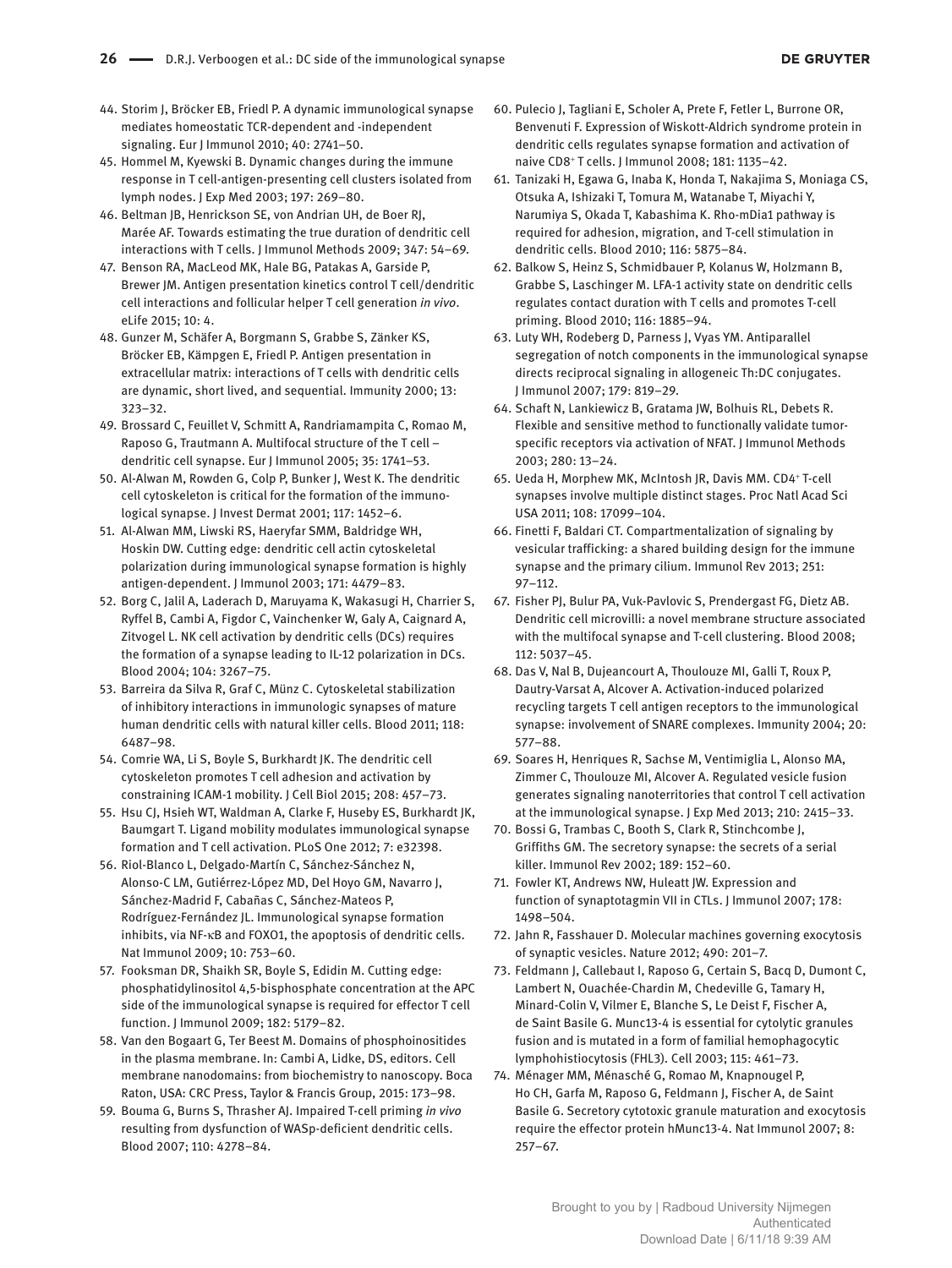- 44. Storim J, Bröcker EB, Friedl P. A dynamic immunological synapse mediates homeostatic TCR-dependent and -independent signaling. Eur J Immunol 2010; 40: 2741–50.
- 45. Hommel M, Kyewski B. Dynamic changes during the immune response in T cell-antigen-presenting cell clusters isolated from lymph nodes. J Exp Med 2003; 197: 269–80.
- 46. Beltman JB, Henrickson SE, von Andrian UH, de Boer RJ, Marée AF. Towards estimating the true duration of dendritic cell interactions with T cells. J Immunol Methods 2009; 347: 54–69.
- 47. Benson RA, MacLeod MK, Hale BG, Patakas A, Garside P, Brewer JM. Antigen presentation kinetics control T cell/dendritic cell interactions and follicular helper T cell generation *in vivo*. eLife 2015; 10: 4.
- 48. Gunzer M, Schäfer A, Borgmann S, Grabbe S, Zänker KS, Bröcker EB, Kämpgen E, Friedl P. Antigen presentation in extracellular matrix: interactions of T cells with dendritic cells are dynamic, short lived, and sequential. Immunity 2000; 13: 323–32.
- 49. Brossard C, Feuillet V, Schmitt A, Randriamampita C, Romao M, Raposo G, Trautmann A. Multifocal structure of the T cell – dendritic cell synapse. Eur J Immunol 2005; 35: 1741–53.
- 50. Al-Alwan M, Rowden G, Colp P, Bunker J, West K. The dendritic cell cytoskeleton is critical for the formation of the immunological synapse. J Invest Dermat 2001; 117: 1452–6.
- 51. Al-Alwan MM, Liwski RS, Haeryfar SMM, Baldridge WH, Hoskin DW. Cutting edge: dendritic cell actin cytoskeletal polarization during immunological synapse formation is highly antigen-dependent. J Immunol 2003; 171: 4479–83.
- 52. Borg C, Jalil A, Laderach D, Maruyama K, Wakasugi H, Charrier S, Ryffel B, Cambi A, Figdor C, Vainchenker W, Galy A, Caignard A, Zitvogel L. NK cell activation by dendritic cells (DCs) requires the formation of a synapse leading to IL-12 polarization in DCs. Blood 2004; 104: 3267–75.
- 53. Barreira da Silva R, Graf C, Münz C. Cytoskeletal stabilization of inhibitory interactions in immunologic synapses of mature human dendritic cells with natural killer cells. Blood 2011; 118: 6487–98.
- 54. Comrie WA, Li S, Boyle S, Burkhardt JK. The dendritic cell cytoskeleton promotes T cell adhesion and activation by constraining ICAM-1 mobility. J Cell Biol 2015; 208: 457–73.
- 55. Hsu CJ, Hsieh WT, Waldman A, Clarke F, Huseby ES, Burkhardt JK, Baumgart T. Ligand mobility modulates immunological synapse formation and T cell activation. PLoS One 2012; 7: e32398.
- 56. Riol-Blanco L, Delgado-Martín C, Sánchez-Sánchez N, Alonso-C LM, Gutiérrez-López MD, Del Hoyo GM, Navarro J, Sánchez-Madrid F, Cabañas C, Sánchez-Mateos P, Rodríguez-Fernández JL. Immunological synapse formation inhibits, via NF-κB and FOXO1, the apoptosis of dendritic cells. Nat Immunol 2009; 10: 753–60.
- 57. Fooksman DR, Shaikh SR, Boyle S, Edidin M. Cutting edge: phosphatidylinositol 4,5-bisphosphate concentration at the APC side of the immunological synapse is required for effector T cell function. J Immunol 2009; 182: 5179–82.
- 58. Van den Bogaart G, Ter Beest M. Domains of phosphoinositides in the plasma membrane. In: Cambi A, Lidke, DS, editors. Cell membrane nanodomains: from biochemistry to nanoscopy. Boca Raton, USA: CRC Press, Taylor & Francis Group, 2015: 173–98.
- 59. Bouma G, Burns S, Thrasher AJ. Impaired T-cell priming *in vivo* resulting from dysfunction of WASp-deficient dendritic cells. Blood 2007; 110: 4278–84.
- 60. Pulecio J, Tagliani E, Scholer A, Prete F, Fetler L, Burrone OR, Benvenuti F. Expression of Wiskott-Aldrich syndrome protein in dendritic cells regulates synapse formation and activation of naive CD8<sup>+</sup> T cells. J Immunol 2008; 181: 1135–42.
- 61. Tanizaki H, Egawa G, Inaba K, Honda T, Nakajima S, Moniaga CS, Otsuka A, Ishizaki T, Tomura M, Watanabe T, Miyachi Y, Narumiya S, Okada T, Kabashima K. Rho-mDia1 pathway is required for adhesion, migration, and T-cell stimulation in dendritic cells. Blood 2010; 116: 5875–84.
- 62. Balkow S, Heinz S, Schmidbauer P, Kolanus W, Holzmann B, Grabbe S, Laschinger M. LFA-1 activity state on dendritic cells regulates contact duration with T cells and promotes T-cell priming. Blood 2010; 116: 1885–94.
- 63. Luty WH, Rodeberg D, Parness J, Vyas YM. Antiparallel segregation of notch components in the immunological synapse directs reciprocal signaling in allogeneic Th:DC conjugates. J Immunol 2007; 179: 819–29.
- 64. Schaft N, Lankiewicz B, Gratama JW, Bolhuis RL, Debets R. Flexible and sensitive method to functionally validate tumorspecific receptors via activation of NFAT. J Immunol Methods 2003; 280: 13–24.
- 65. Ueda H, Morphew MK, McIntosh JR, Davis MM. CD4<sup>+</sup> T-cell synapses involve multiple distinct stages. Proc Natl Acad Sci USA 2011; 108: 17099–104.
- 66. Finetti F, Baldari CT. Compartmentalization of signaling by vesicular trafficking: a shared building design for the immune synapse and the primary cilium. Immunol Rev 2013; 251: 97–112.
- 67. Fisher PJ, Bulur PA, Vuk-Pavlovic S, Prendergast FG, Dietz AB. Dendritic cell microvilli: a novel membrane structure associated with the multifocal synapse and T-cell clustering. Blood 2008; 112: 5037–45.
- 68. Das V, Nal B, Dujeancourt A, Thoulouze MI, Galli T, Roux P, Dautry-Varsat A, Alcover A. Activation-induced polarized recycling targets T cell antigen receptors to the immunological synapse: involvement of SNARE complexes. Immunity 2004; 20: 577–88.
- 69. Soares H, Henriques R, Sachse M, Ventimiglia L, Alonso MA, Zimmer C, Thoulouze MI, Alcover A. Regulated vesicle fusion generates signaling nanoterritories that control T cell activation at the immunological synapse. J Exp Med 2013; 210: 2415–33.
- 70. Bossi G, Trambas C, Booth S, Clark R, Stinchcombe J, Griffiths GM. The secretory synapse: the secrets of a serial killer. Immunol Rev 2002; 189: 152–60.
- 71. Fowler KT, Andrews NW, Huleatt JW. Expression and function of synaptotagmin VII in CTLs. J Immunol 2007; 178: 1498–504.
- 72. Jahn R, Fasshauer D. Molecular machines governing exocytosis of synaptic vesicles. Nature 2012; 490: 201–7.
- 73. Feldmann J, Callebaut I, Raposo G, Certain S, Bacq D, Dumont C, Lambert N, Ouachée-Chardin M, Chedeville G, Tamary H, Minard-Colin V, Vilmer E, Blanche S, Le Deist F, Fischer A, de Saint Basile G. Munc13-4 is essential for cytolytic granules fusion and is mutated in a form of familial hemophagocytic lymphohistiocytosis (FHL3). Cell 2003; 115: 461–73.
- 74. Ménager MM, Ménasché G, Romao M, Knapnougel P, Ho CH, Garfa M, Raposo G, Feldmann J, Fischer A, de Saint Basile G. Secretory cytotoxic granule maturation and exocytosis require the effector protein hMunc13-4. Nat Immunol 2007; 8: 257–67.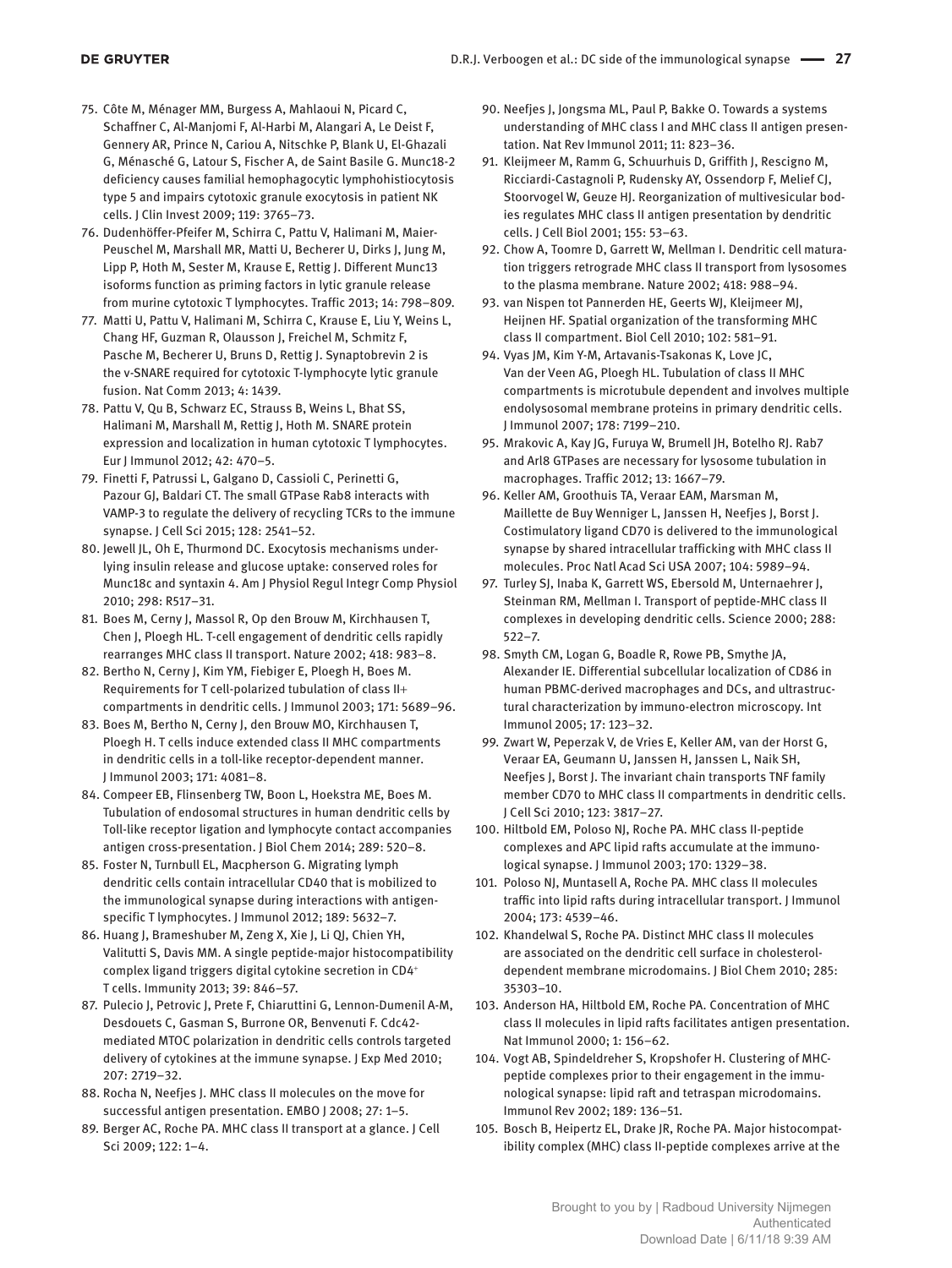- 75. Côte M, Ménager MM, Burgess A, Mahlaoui N, Picard C, Schaffner C, Al-Manjomi F, Al-Harbi M, Alangari A, Le Deist F, Gennery AR, Prince N, Cariou A, Nitschke P, Blank U, El-Ghazali G, Ménasché G, Latour S, Fischer A, de Saint Basile G. Munc18-2 deficiency causes familial hemophagocytic lymphohistiocytosis type 5 and impairs cytotoxic granule exocytosis in patient NK cells. J Clin Invest 2009; 119: 3765–73.
- 76. Dudenhöffer-Pfeifer M, Schirra C, Pattu V, Halimani M, Maier-Peuschel M, Marshall MR, Matti U, Becherer U, Dirks J, Jung M, Lipp P, Hoth M, Sester M, Krause E, Rettig J. Different Munc13 isoforms function as priming factors in lytic granule release from murine cytotoxic T lymphocytes. Traffic 2013; 14: 798–809.
- 77. Matti U, Pattu V, Halimani M, Schirra C, Krause E, Liu Y, Weins L, Chang HF, Guzman R, Olausson J, Freichel M, Schmitz F, Pasche M, Becherer U, Bruns D, Rettig I, Synaptobrevin 2 is the v-SNARE required for cytotoxic T-lymphocyte lytic granule fusion. Nat Comm 2013; 4: 1439.
- 78. Pattu V, Qu B, Schwarz EC, Strauss B, Weins L, Bhat SS, Halimani M, Marshall M, Rettig J, Hoth M. SNARE protein expression and localization in human cytotoxic T lymphocytes. Eur J Immunol 2012; 42: 470–5.
- 79. Finetti F, Patrussi L, Galgano D, Cassioli C, Perinetti G, Pazour GJ, Baldari CT. The small GTPase Rab8 interacts with VAMP-3 to regulate the delivery of recycling TCRs to the immune synapse. J Cell Sci 2015; 128: 2541–52.
- 80. Jewell JL, Oh E, Thurmond DC. Exocytosis mechanisms underlying insulin release and glucose uptake: conserved roles for Munc18c and syntaxin 4. Am J Physiol Regul Integr Comp Physiol 2010; 298: R517–31.
- 81. Boes M, Cerny J, Massol R, Op den Brouw M, Kirchhausen T, Chen J, Ploegh HL. T-cell engagement of dendritic cells rapidly rearranges MHC class II transport. Nature 2002; 418: 983–8.
- 82. Bertho N, Cerny J, Kim YM, Fiebiger E, Ploegh H, Boes M. Requirements for T cell-polarized tubulation of class II+ compartments in dendritic cells. J Immunol 2003; 171: 5689–96.
- 83. Boes M, Bertho N, Cerny J, den Brouw MO, Kirchhausen T, Ploegh H. T cells induce extended class II MHC compartments in dendritic cells in a toll-like receptor-dependent manner. J Immunol 2003; 171: 4081–8.
- 84. Compeer EB, Flinsenberg TW, Boon L, Hoekstra ME, Boes M. Tubulation of endosomal structures in human dendritic cells by Toll-like receptor ligation and lymphocyte contact accompanies antigen cross-presentation. J Biol Chem 2014; 289: 520–8.
- 85. Foster N, Turnbull EL, Macpherson G. Migrating lymph dendritic cells contain intracellular CD40 that is mobilized to the immunological synapse during interactions with antigenspecific T lymphocytes. J Immunol 2012; 189: 5632–7.
- 86. Huang J, Brameshuber M, Zeng X, Xie J, Li QJ, Chien YH, Valitutti S, Davis MM. A single peptide-major histocompatibility complex ligand triggers digital cytokine secretion in CD4<sup>+</sup> T cells. Immunity 2013; 39: 846–57.
- 87. Pulecio J, Petrovic J, Prete F, Chiaruttini G, Lennon-Dumenil A-M, Desdouets C, Gasman S, Burrone OR, Benvenuti F. Cdc42 mediated MTOC polarization in dendritic cells controls targeted delivery of cytokines at the immune synapse. J Exp Med 2010; 207: 2719–32.
- 88. Rocha N, Neefjes J. MHC class II molecules on the move for successful antigen presentation. EMBO J 2008; 27: 1–5.
- 89. Berger AC, Roche PA. MHC class II transport at a glance. J Cell Sci 2009; 122: 1–4.
- 90. Neefjes J, Jongsma ML, Paul P, Bakke O. Towards a systems understanding of MHC class I and MHC class II antigen presentation. Nat Rev Immunol 2011; 11: 823–36.
- 91. Kleijmeer M, Ramm G, Schuurhuis D, Griffith J, Rescigno M, Ricciardi-Castagnoli P, Rudensky AY, Ossendorp F, Melief CJ, Stoorvogel W, Geuze HJ. Reorganization of multivesicular bodies regulates MHC class II antigen presentation by dendritic cells. J Cell Biol 2001; 155: 53–63.
- 92. Chow A, Toomre D, Garrett W, Mellman I. Dendritic cell maturation triggers retrograde MHC class II transport from lysosomes to the plasma membrane. Nature 2002; 418: 988–94.
- 93. van Nispen tot Pannerden HE, Geerts WJ, Kleijmeer MJ, Heijnen HF. Spatial organization of the transforming MHC class II compartment. Biol Cell 2010; 102: 581–91.
- 94. Vyas JM, Kim Y-M, Artavanis-Tsakonas K, Love JC, Van der Veen AG, Ploegh HL. Tubulation of class II MHC compartments is microtubule dependent and involves multiple endolysosomal membrane proteins in primary dendritic cells. J Immunol 2007; 178: 7199–210.
- 95. Mrakovic A, Kay JG, Furuya W, Brumell JH, Botelho RJ. Rab7 and Arl8 GTPases are necessary for lysosome tubulation in macrophages. Traffic 2012; 13: 1667–79.
- 96. Keller AM, Groothuis TA, Veraar EAM, Marsman M, Maillette de Buy Wenniger L, Janssen H, Neefjes J, Borst J. Costimulatory ligand CD70 is delivered to the immunological synapse by shared intracellular trafficking with MHC class II molecules. Proc Natl Acad Sci USA 2007; 104: 5989–94.
- 97. Turley SJ, Inaba K, Garrett WS, Ebersold M, Unternaehrer J, Steinman RM, Mellman I. Transport of peptide-MHC class II complexes in developing dendritic cells. Science 2000; 288: 522–7.
- 98. Smyth CM, Logan G, Boadle R, Rowe PB, Smythe JA, Alexander IE. Differential subcellular localization of CD86 in human PBMC-derived macrophages and DCs, and ultrastructural characterization by immuno-electron microscopy. Int Immunol 2005; 17: 123–32.
- 99. Zwart W, Peperzak V, de Vries E, Keller AM, van der Horst G, Veraar EA, Geumann U, Janssen H, Janssen L, Naik SH, Neefjes J, Borst J. The invariant chain transports TNF family member CD70 to MHC class II compartments in dendritic cells. J Cell Sci 2010; 123: 3817–27.
- 100. Hiltbold EM, Poloso NJ, Roche PA. MHC class II-peptide complexes and APC lipid rafts accumulate at the immunological synapse. J Immunol 2003; 170: 1329–38.
- 101. Poloso NJ, Muntasell A, Roche PA. MHC class II molecules traffic into lipid rafts during intracellular transport. J Immunol 2004; 173: 4539–46.
- 102. Khandelwal S, Roche PA. Distinct MHC class II molecules are associated on the dendritic cell surface in cholesteroldependent membrane microdomains. J Biol Chem 2010; 285: 35303–10.
- 103. Anderson HA, Hiltbold EM, Roche PA. Concentration of MHC class II molecules in lipid rafts facilitates antigen presentation. Nat Immunol 2000; 1: 156–62.
- 104. Vogt AB, Spindeldreher S, Kropshofer H. Clustering of MHCpeptide complexes prior to their engagement in the immunological synapse: lipid raft and tetraspan microdomains. Immunol Rev 2002; 189: 136–51.
- 105. Bosch B, Heipertz EL, Drake JR, Roche PA. Major histocompatibility complex (MHC) class II-peptide complexes arrive at the